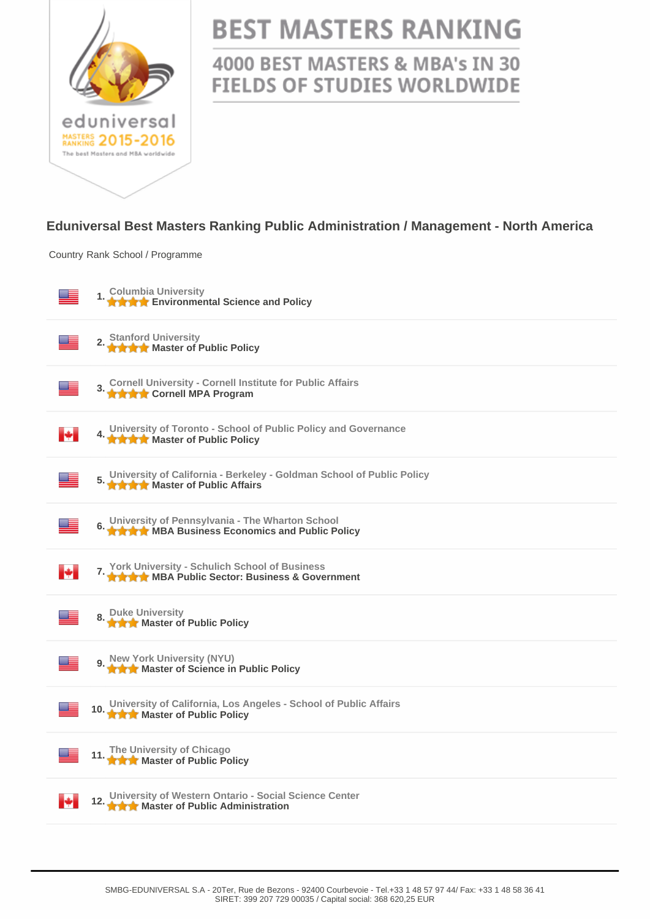

## **BEST MASTERS RANKING**

## 4000 BEST MASTERS & MBA's IN 30 **FIELDS OF STUDIES WORLDWIDE**

## **Eduniversal Best Masters Ranking Public Administration / Management - North America**

Country Rank School / Programme

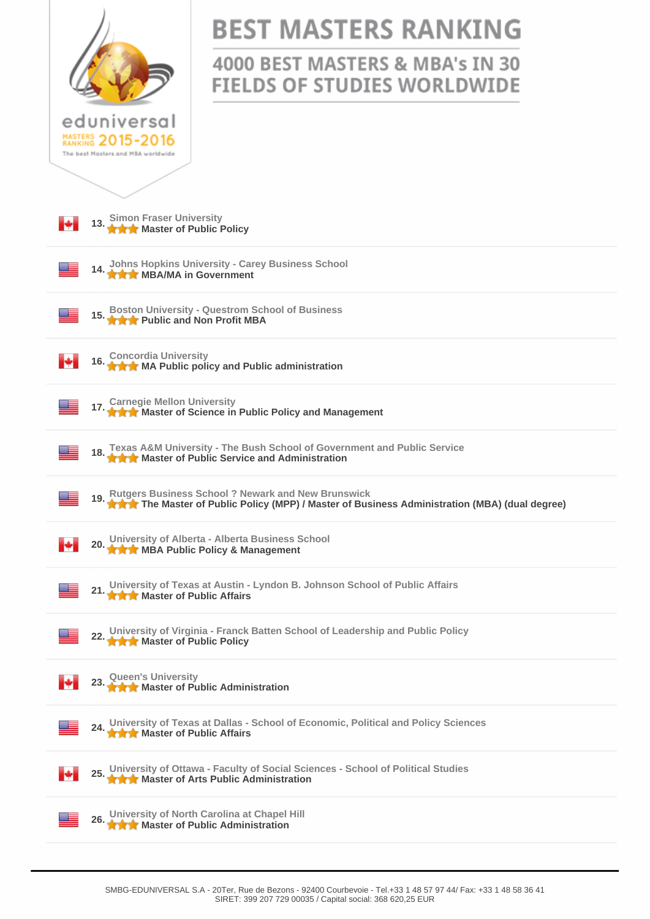|                                                                                                                                                             | <b>BEST MASTERS RANKING</b><br>4000 BEST MASTERS & MBA's IN 30 |  |
|-------------------------------------------------------------------------------------------------------------------------------------------------------------|----------------------------------------------------------------|--|
|                                                                                                                                                             | <b>FIELDS OF STUDIES WORLDWIDE</b>                             |  |
| eduniversal<br>MASTERS 2015-2016<br>The best Masters and MBA worldwide                                                                                      |                                                                |  |
|                                                                                                                                                             |                                                                |  |
| 13. Simon Fraser University<br>13. A Master of Public Policy                                                                                                |                                                                |  |
| 14. Johns Hopkins University - Carey Business School                                                                                                        |                                                                |  |
| <b>Boston University - Questrom School of Business</b><br><b>★★★</b> Public and Non Profit MBA                                                              |                                                                |  |
| 16. Concordia University<br>16. ★★★ MA Public policy and Public administration<br>ĸ.                                                                        |                                                                |  |
| 17. Carnegie Mellon University<br>17. A A Master of Science in Public Policy and Management                                                                 |                                                                |  |
| Texas A&M University - The Bush School of Government and Public Service<br>★★★ Master of Public Service and Administration                                  |                                                                |  |
| 19. Rutgers Business School ? Newark and New Brunswick<br>19. A A The Master of Public Policy (MPP) / Master of Business Administration (MBA) (dual degree) |                                                                |  |
| University of Alberta - Alberta Business School<br>м<br><b>★★★</b> MBA Public Policy & Management                                                           |                                                                |  |
| 21. University of Texas at Austin - Lyndon B. Johnson School of Public Affairs<br><b>A A</b> Master of Public Affairs                                       |                                                                |  |
| University of Virginia - Franck Batten School of Leadership and Public Policy<br><b>THE Master of Public Policy</b>                                         |                                                                |  |
| 23. Queen's University<br>23. A Master of Public Administration<br>м                                                                                        |                                                                |  |
| University of Texas at Dallas - School of Economic, Political and Policy Sciences<br><b>THE Master of Public Affairs</b>                                    |                                                                |  |
| University of Ottawa - Faculty of Social Sciences - School of Political Studies<br>м<br><b>That A</b> Master of Arts Public Administration                  |                                                                |  |
| University of North Carolina at Chapel Hill<br><b>A A Master of Public Administration</b>                                                                   |                                                                |  |
|                                                                                                                                                             |                                                                |  |